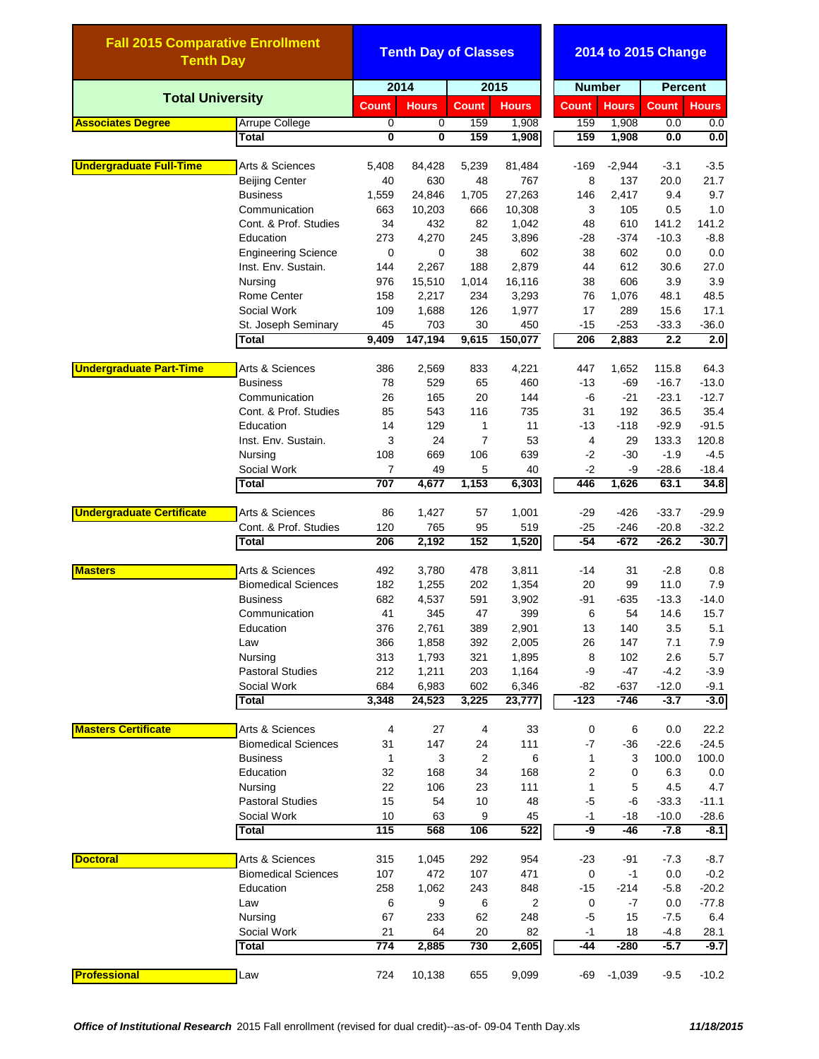| <b>Fall 2015 Comparative Enrollment</b><br><b>Tenth Day</b><br><b>Total University</b> |                                       | <b>Tenth Day of Classes</b> |                         |              |                | 2014 to 2015 Change |                |                 |                    |                    |
|----------------------------------------------------------------------------------------|---------------------------------------|-----------------------------|-------------------------|--------------|----------------|---------------------|----------------|-----------------|--------------------|--------------------|
|                                                                                        |                                       |                             | 2014                    |              | 2015           |                     | <b>Number</b>  |                 | <b>Percent</b>     |                    |
|                                                                                        |                                       | Count                       | <b>Hours</b>            | <b>Count</b> | <b>Hours</b>   | <b>Count</b>        |                | <b>Hours</b>    | <b>Count</b>       | <b>Hours</b>       |
| <b>Associates Degree</b>                                                               | Arrupe College                        | 0                           | 0                       | 159          | 1,908          |                     | 159            | 1,908           | 0.0                | 0.0                |
|                                                                                        | Total                                 | $\overline{\mathbf{0}}$     | $\overline{\mathbf{0}}$ | 159          | 1,908          |                     | 159            | 1,908           | 0.0                | 0.0                |
| <b>Undergraduate Full-Time</b>                                                         | Arts & Sciences                       | 5,408                       | 84,428                  | 5,239        | 81,484         |                     | -169           | $-2,944$        | $-3.1$             | $-3.5$             |
|                                                                                        | <b>Beijing Center</b>                 | 40                          | 630                     | 48           | 767            |                     | 8              | 137             | 20.0               | 21.7               |
|                                                                                        | <b>Business</b>                       | 1,559                       | 24,846                  | 1,705        | 27,263         |                     | 146            | 2,417           | 9.4                | 9.7                |
|                                                                                        | Communication                         | 663                         | 10,203                  | 666          | 10,308         |                     | 3              | 105             | 0.5                | 1.0                |
|                                                                                        | Cont. & Prof. Studies                 | 34                          | 432                     | 82           | 1,042          |                     | 48             | 610             | 141.2              | 141.2              |
|                                                                                        | Education                             | 273                         | 4,270                   | 245          | 3,896          |                     | -28            | $-374$          | $-10.3$            | $-8.8$             |
|                                                                                        | <b>Engineering Science</b>            | 0                           | 0                       | 38           | 602            |                     | 38             | 602             | 0.0                | 0.0                |
|                                                                                        | Inst. Env. Sustain.                   | 144                         | 2,267                   | 188          | 2,879          |                     | 44             | 612             | 30.6               | 27.0               |
|                                                                                        | Nursing                               | 976                         | 15,510                  | 1,014        | 16,116         |                     | 38             | 606             | 3.9                | 3.9                |
|                                                                                        | Rome Center                           | 158                         | 2,217                   | 234          | 3,293          |                     | 76             | 1,076           | 48.1               | 48.5               |
|                                                                                        | Social Work                           | 109                         | 1,688                   | 126          | 1,977          |                     | 17             | 289             | 15.6               | 17.1               |
|                                                                                        | St. Joseph Seminary<br>Total          | 45<br>9,409                 | 703<br>147,194          | 30<br>9,615  | 450<br>150,077 |                     | -15<br>206     | $-253$<br>2,883 | $-33.3$<br>2.2     | $-36.0$<br>2.0     |
|                                                                                        |                                       |                             |                         |              |                |                     |                |                 |                    |                    |
| <b>Undergraduate Part-Time</b>                                                         | Arts & Sciences                       | 386                         | 2,569                   | 833          | 4,221          |                     | 447            | 1,652           | 115.8              | 64.3               |
|                                                                                        | <b>Business</b>                       | 78                          | 529                     | 65           | 460            |                     | -13            | -69             | $-16.7$            | $-13.0$            |
|                                                                                        | Communication                         | 26                          | 165                     | 20           | 144            |                     | -6             | -21             | $-23.1$            | $-12.7$            |
|                                                                                        | Cont. & Prof. Studies                 | 85                          | 543                     | 116          | 735            |                     | 31             | 192             | 36.5               | 35.4               |
|                                                                                        | Education                             | 14                          | 129<br>24               | 1<br>7       | 11             |                     | $-13$          | -118            | $-92.9$            | $-91.5$            |
|                                                                                        | Inst. Env. Sustain.<br>Nursing        | 3<br>108                    | 669                     | 106          | 53<br>639      |                     | 4<br>$-2$      | 29<br>-30       | 133.3<br>$-1.9$    | 120.8<br>$-4.5$    |
|                                                                                        | Social Work                           | 7                           | 49                      | 5            | 40             |                     | $-2$           | -9              | $-28.6$            | $-18.4$            |
|                                                                                        | Total                                 | 707                         | 4,677                   | 1,153        | 6,303          |                     | 446            | 1,626           | 63.1               | 34.8               |
|                                                                                        |                                       |                             |                         |              |                |                     |                |                 |                    |                    |
| <b>Undergraduate Certificate</b>                                                       | Arts & Sciences                       | 86                          | 1,427                   | 57           | 1,001          |                     | $-29$          | -426            | $-33.7$            | $-29.9$            |
|                                                                                        | Cont. & Prof. Studies<br><b>Total</b> | 120<br>206                  | 765<br>2,192            | 95<br>152    | 519<br>1,520   |                     | $-25$<br>$-54$ | -246<br>$-672$  | $-20.8$<br>$-26.2$ | $-32.2$<br>$-30.7$ |
|                                                                                        |                                       |                             |                         |              |                |                     |                |                 |                    |                    |
| <b>Masters</b>                                                                         | Arts & Sciences                       | 492                         | 3,780                   | 478          | 3,811          |                     | -14            | 31              | $-2.8$             | 0.8                |
|                                                                                        | <b>Biomedical Sciences</b>            | 182                         | 1,255                   | 202          | 1,354          |                     | 20             | 99              | 11.0               | 7.9                |
|                                                                                        | <b>Business</b>                       | 682                         | 4,537                   | 591          | 3,902          |                     | -91            | -635            | $-13.3$            | $-14.0$            |
|                                                                                        | Communication                         | 41                          | 345                     | 47           | 399            |                     | 6              | 54              | 14.6               | 15.7               |
|                                                                                        | Education                             | 376<br>366                  | 2,761                   | 389<br>392   | 2,901          |                     | 13<br>26       | 140             | 3.5<br>7.1         | 5.1                |
|                                                                                        | Law<br>Nursing                        | 313                         | 1,858<br>1,793          | 321          | 2,005<br>1,895 |                     | 8              | 147<br>102      | 2.6                | 7.9                |
|                                                                                        | <b>Pastoral Studies</b>               | 212                         | 1,211                   | 203          | 1,164          |                     | -9             | $-47$           | $-4.2$             | 5.7<br>$-3.9$      |
|                                                                                        | Social Work                           | 684                         | 6,983                   | 602          | 6,346          |                     | -82            | $-637$          | $-12.0$            | $-9.1$             |
|                                                                                        | Total                                 | 3,348                       | 24,523                  | 3,225        | 23,777         |                     | $-123$         | $-746$          | $-3.7$             | $-3.0$             |
|                                                                                        |                                       |                             |                         |              |                |                     |                |                 |                    |                    |
| <b>Masters Certificate</b>                                                             | Arts & Sciences                       | 4                           | 27                      | 4            | 33             |                     | 0              | 6               | 0.0                | 22.2               |
|                                                                                        | <b>Biomedical Sciences</b>            | 31                          | 147                     | 24           | 111            |                     | -7             | $-36$           | $-22.6$            | $-24.5$            |
|                                                                                        | <b>Business</b>                       | 1                           | 3                       | 2            | 6<br>168       |                     | 1<br>2         | 3               | 100.0              | 100.0              |
|                                                                                        | Education<br>Nursing                  | 32<br>22                    | 168<br>106              | 34<br>23     | 111            |                     | 1              | 0<br>5          | 6.3<br>4.5         | 0.0<br>4.7         |
|                                                                                        | <b>Pastoral Studies</b>               | 15                          | 54                      | 10           | 48             |                     | -5             | -6              | $-33.3$            | $-11.1$            |
|                                                                                        | Social Work                           | 10                          | 63                      | 9            | 45             |                     | $-1$           | $-18$           | $-10.0$            | $-28.6$            |
|                                                                                        | <b>Total</b>                          | 115                         | 568                     | 106          | 522            |                     | -9             | $-46$           | $-7.8$             | $-8.1$             |
|                                                                                        |                                       |                             |                         |              |                |                     |                |                 |                    |                    |
| <b>Doctoral</b>                                                                        | Arts & Sciences                       | 315                         | 1,045                   | 292          | 954            |                     | $-23$          | -91             | $-7.3$             | $-8.7$             |
|                                                                                        | <b>Biomedical Sciences</b>            | 107                         | 472                     | 107          | 471            |                     | 0              | -1              | 0.0                | $-0.2$             |
|                                                                                        | Education                             | 258                         | 1,062                   | 243          | 848            |                     | $-15$          | -214            | -5.8               | $-20.2$            |
|                                                                                        | Law                                   | 6                           | 9                       | 6            | $\overline{2}$ |                     | $\mathbf 0$    | -7              | 0.0                | $-77.8$            |
|                                                                                        | Nursing                               | 67                          | 233                     | 62           | 248            |                     | -5             | 15              | $-7.5$             | 6.4                |
|                                                                                        | Social Work<br><b>Total</b>           | 21<br>774                   | 64<br>2,885             | 20<br>730    | 82<br>2,605    |                     | $-1$<br>-44    | 18<br>$-280$    | $-4.8$<br>$-5.7$   | 28.1<br>$-9.7$     |
|                                                                                        |                                       |                             |                         |              |                |                     |                |                 |                    |                    |
| <b>Professional</b>                                                                    | Law                                   | 724                         | 10,138                  | 655          | 9,099          |                     | -69            | $-1,039$        | $-9.5$             | $-10.2$            |